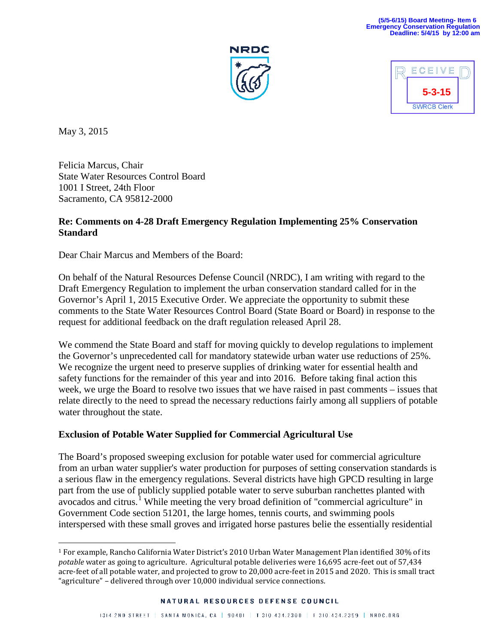### **(5/5-6/15) Board Meeting- Item 6 Emergency Conservation Regulation Deadline: 5/4/15 by 12:00 am**





May 3, 2015

Felicia Marcus, Chair State Water Resources Control Board 1001 I Street, 24th Floor Sacramento, CA 95812-2000

### **Re: Comments on 4-28 Draft Emergency Regulation Implementing 25% Conservation Standard**

Dear Chair Marcus and Members of the Board:

On behalf of the Natural Resources Defense Council (NRDC), I am writing with regard to the Draft Emergency Regulation to implement the urban conservation standard called for in the Governor's April 1, 2015 Executive Order. We appreciate the opportunity to submit these comments to the State Water Resources Control Board (State Board or Board) in response to the request for additional feedback on the draft regulation released April 28.

We commend the State Board and staff for moving quickly to develop regulations to implement the Governor's unprecedented call for mandatory statewide urban water use reductions of 25%. We recognize the urgent need to preserve supplies of drinking water for essential health and safety functions for the remainder of this year and into 2016. Before taking final action this week, we urge the Board to resolve two issues that we have raised in past comments – issues that relate directly to the need to spread the necessary reductions fairly among all suppliers of potable water throughout the state.

# **Exclusion of Potable Water Supplied for Commercial Agricultural Use**

The Board's proposed sweeping exclusion for potable water used for commercial agriculture from an urban water supplier's water production for purposes of setting conservation standards is a serious flaw in the emergency regulations. Several districts have high GPCD resulting in large part from the use of publicly supplied potable water to serve suburban ranchettes planted with avocados and citrus.<sup>[1](#page-0-0)</sup> While meeting the very broad definition of "commercial agriculture" in Government Code section 51201, the large homes, tennis courts, and swimming pools interspersed with these small groves and irrigated horse pastures belie the essentially residential

<span id="page-0-0"></span> <sup>1</sup> For example, Rancho California Water District's 2010 Urban Water Management Plan identified 30% of its *potable* water as going to agriculture. Agricultural potable deliveries were 16,695 acre-feet out of 57,434 acre-feet of all potable water, and projected to grow to 20,000 acre-feet in 2015 and 2020. This is small tract "agriculture" – delivered through over 10,000 individual service connections.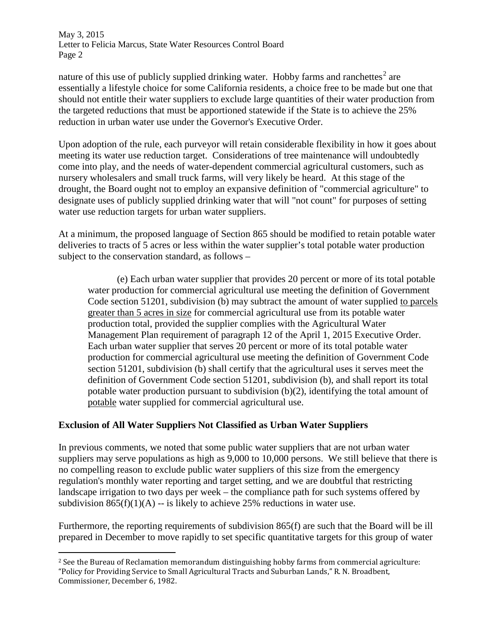May 3, 2015 Letter to Felicia Marcus, State Water Resources Control Board Page 2

nature of this use of publicly supplied drinking water. Hobby farms and ranchettes<sup>[2](#page-1-0)</sup> are essentially a lifestyle choice for some California residents, a choice free to be made but one that should not entitle their water suppliers to exclude large quantities of their water production from the targeted reductions that must be apportioned statewide if the State is to achieve the 25% reduction in urban water use under the Governor's Executive Order.

Upon adoption of the rule, each purveyor will retain considerable flexibility in how it goes about meeting its water use reduction target. Considerations of tree maintenance will undoubtedly come into play, and the needs of water-dependent commercial agricultural customers, such as nursery wholesalers and small truck farms, will very likely be heard. At this stage of the drought, the Board ought not to employ an expansive definition of "commercial agriculture" to designate uses of publicly supplied drinking water that will "not count" for purposes of setting water use reduction targets for urban water suppliers.

At a minimum, the proposed language of Section 865 should be modified to retain potable water deliveries to tracts of 5 acres or less within the water supplier's total potable water production subject to the conservation standard, as follows –

(e) Each urban water supplier that provides 20 percent or more of its total potable water production for commercial agricultural use meeting the definition of Government Code section 51201, subdivision (b) may subtract the amount of water supplied to parcels greater than 5 acres in size for commercial agricultural use from its potable water production total, provided the supplier complies with the Agricultural Water Management Plan requirement of paragraph 12 of the April 1, 2015 Executive Order. Each urban water supplier that serves 20 percent or more of its total potable water production for commercial agricultural use meeting the definition of Government Code section 51201, subdivision (b) shall certify that the agricultural uses it serves meet the definition of Government Code section 51201, subdivision (b), and shall report its total potable water production pursuant to subdivision (b)(2), identifying the total amount of potable water supplied for commercial agricultural use.

# **Exclusion of All Water Suppliers Not Classified as Urban Water Suppliers**

In previous comments, we noted that some public water suppliers that are not urban water suppliers may serve populations as high as 9,000 to 10,000 persons. We still believe that there is no compelling reason to exclude public water suppliers of this size from the emergency regulation's monthly water reporting and target setting, and we are doubtful that restricting landscape irrigation to two days per week – the compliance path for such systems offered by subdivision  $865(f)(1)(A) -$  is likely to achieve 25% reductions in water use.

Furthermore, the reporting requirements of subdivision 865(f) are such that the Board will be ill prepared in December to move rapidly to set specific quantitative targets for this group of water

<span id="page-1-0"></span><sup>&</sup>lt;sup>2</sup> See the Bureau of Reclamation memorandum distinguishing hobby farms from commercial agriculture: "Policy for Providing Service to Small Agricultural Tracts and Suburban Lands," R. N. Broadbent, Commissioner, December 6, 1982.